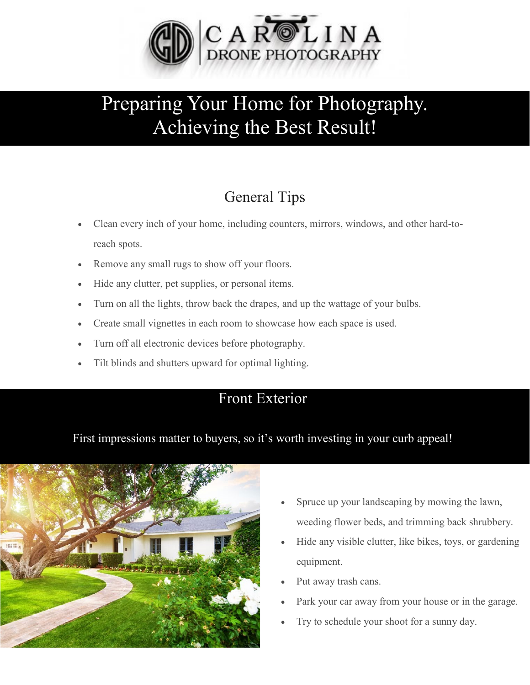

# Preparing Your Home for Photography. Achieving the Best Result!

## General Tips

- Clean every inch of your home, including counters, mirrors, windows, and other hard-toreach spots.
- Remove any small rugs to show off your floors.
- Hide any clutter, pet supplies, or personal items.
- Turn on all the lights, throw back the drapes, and up the wattage of your bulbs.
- Create small vignettes in each room to showcase how each space is used.
- Turn off all electronic devices before photography.
- Tilt blinds and shutters upward for optimal lighting.

#### Front Exterior

#### First impressions matter to buyers, so it's worth investing in your curb appeal!



- Spruce up your landscaping by mowing the lawn, weeding flower beds, and trimming back shrubbery.
- Hide any visible clutter, like bikes, toys, or gardening equipment.
- Put away trash cans.
- Park your car away from your house or in the garage.
- Try to schedule your shoot for a sunny day.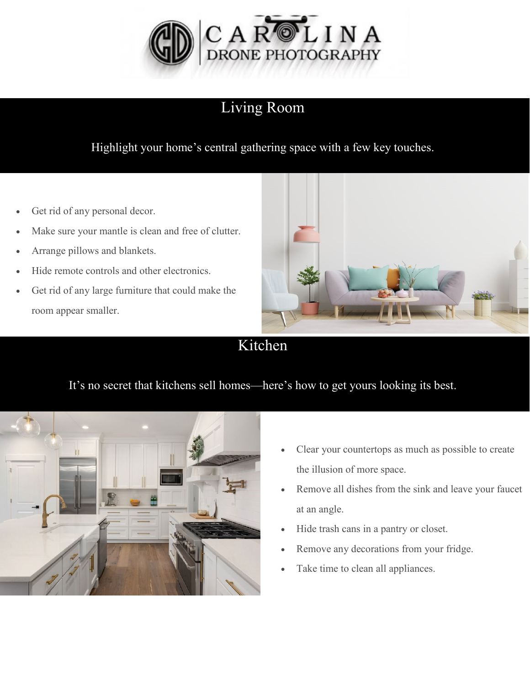

## Living Room

Highlight your home's central gathering space with a few key touches.

- Get rid of any personal decor.
- Make sure your mantle is clean and free of clutter.
- Arrange pillows and blankets.
- Hide remote controls and other electronics.
- Get rid of any large furniture that could make the room appear smaller.



Kitchen

#### It's no secret that kitchens sell homes—here's how to get yours looking its best.



- Clear your countertops as much as possible to create the illusion of more space.
- Remove all dishes from the sink and leave your faucet at an angle.
- Hide trash cans in a pantry or closet.
- Remove any decorations from your fridge.
- Take time to clean all appliances.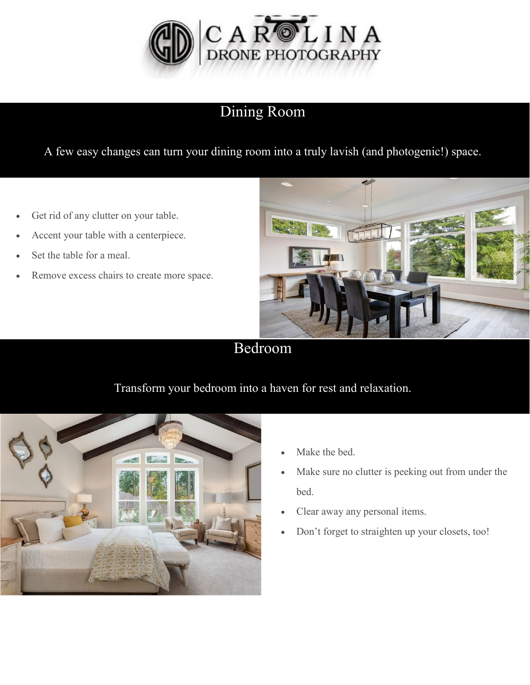

## Dining Room

A few easy changes can turn your dining room into a truly lavish (and photogenic!) space.

- Get rid of any clutter on your table.
- Accent your table with a centerpiece.
- Set the table for a meal.
- Remove excess chairs to create more space.



Bedroom

### Transform your bedroom into a haven for rest and relaxation.



- Make the bed.
- Make sure no clutter is peeking out from under the bed.
- Clear away any personal items.
- Don't forget to straighten up your closets, too!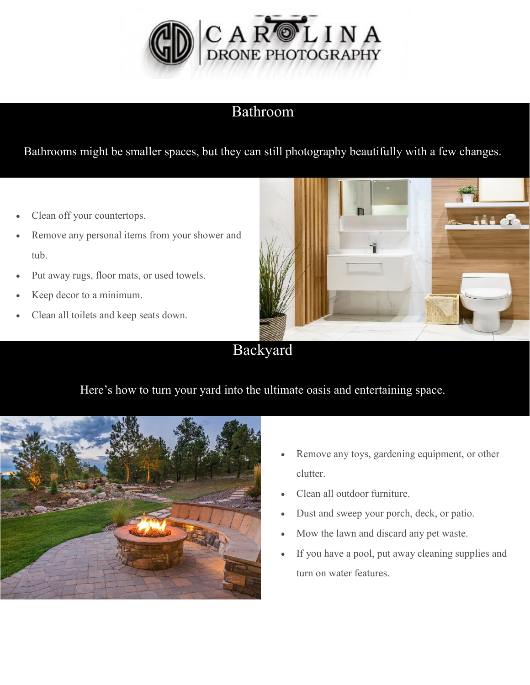

#### Bathroom

Bathrooms might be smaller spaces, but they can still photography beautifully with a few changes.

- Clean off your countertops.
- Remove any personal items from your shower and tub.
- Put away rugs, floor mats, or used towels.
- Keep decor to a minimum.
- Clean all toilets and keep seats down.



#### Backyard

#### Here's how to turn your yard into the ultimate oasis and entertaining space.



- Remove any toys, gardening equipment, or other clutter.
- Clean all outdoor furniture.
- Dust and sweep your porch, deck, or patio.
- Mow the lawn and discard any pet waste.
- If you have a pool, put away cleaning supplies and turn on water features.